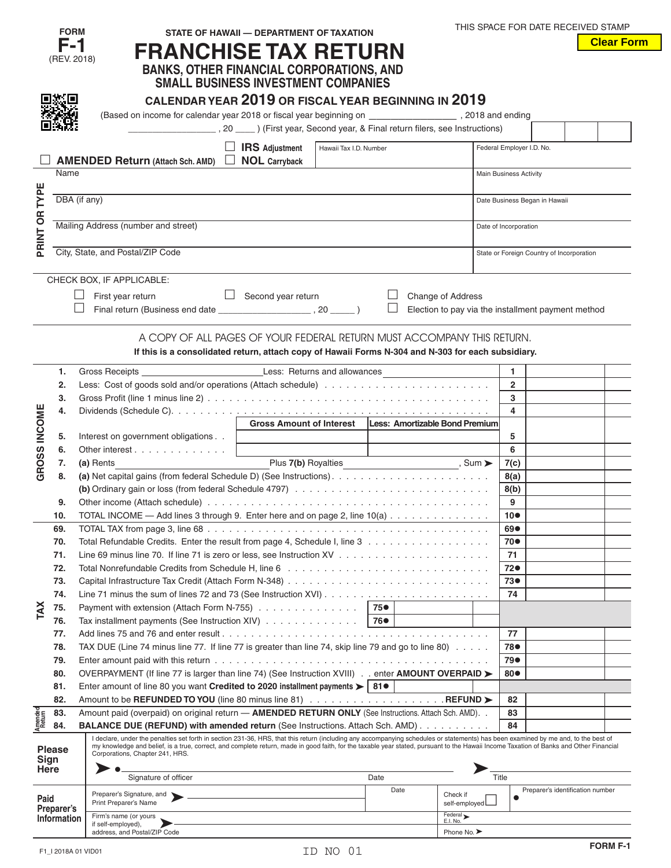|                   | <b>FORM</b>   | STATE OF HAWAII - DEPARTMENT OF TAXATION                                                                                                                                                                                                                                                                                                                                     |             |                                                    |                         | THIS SPACE FOR DATE RECEIVED STAMP        |                   |
|-------------------|---------------|------------------------------------------------------------------------------------------------------------------------------------------------------------------------------------------------------------------------------------------------------------------------------------------------------------------------------------------------------------------------------|-------------|----------------------------------------------------|-------------------------|-------------------------------------------|-------------------|
|                   | F-1           |                                                                                                                                                                                                                                                                                                                                                                              |             |                                                    |                         |                                           | <b>Clear Form</b> |
|                   | (REV. 2018)   | <b>FRANCHISE TAX RETURN</b>                                                                                                                                                                                                                                                                                                                                                  |             |                                                    |                         |                                           |                   |
|                   |               | <b>BANKS, OTHER FINANCIAL CORPORATIONS, AND<br/>SMALL BUSINESS INVESTMENT COMPANIES</b>                                                                                                                                                                                                                                                                                      |             |                                                    |                         |                                           |                   |
|                   |               |                                                                                                                                                                                                                                                                                                                                                                              |             |                                                    |                         |                                           |                   |
|                   |               | CALENDAR YEAR 2019 OR FISCAL YEAR BEGINNING IN 2019                                                                                                                                                                                                                                                                                                                          |             |                                                    |                         |                                           |                   |
|                   |               |                                                                                                                                                                                                                                                                                                                                                                              |             |                                                    |                         |                                           |                   |
|                   |               | (Based on income for calendar year 2018 or fiscal year beginning on _________________________, 2018 and ending                                                                                                                                                                                                                                                               |             |                                                    |                         |                                           |                   |
|                   |               | [First year, Second year, & Final return filers, see Instructions)                                                                                                                                                                                                                                                                                                           |             |                                                    |                         |                                           |                   |
|                   |               | $\Box$ IRS Adjustment<br>Hawaii Tax I.D. Number                                                                                                                                                                                                                                                                                                                              |             | Federal Employer I.D. No.                          |                         |                                           |                   |
|                   |               | AMENDED Return (Attach Sch. AMD) □ NOL Carryback                                                                                                                                                                                                                                                                                                                             |             |                                                    |                         |                                           |                   |
|                   | Name          |                                                                                                                                                                                                                                                                                                                                                                              |             | Main Business Activity                             |                         |                                           |                   |
|                   |               |                                                                                                                                                                                                                                                                                                                                                                              |             |                                                    |                         |                                           |                   |
| TYPE              | DBA (if any)  |                                                                                                                                                                                                                                                                                                                                                                              |             |                                                    |                         | Date Business Began in Hawaii             |                   |
|                   |               |                                                                                                                                                                                                                                                                                                                                                                              |             |                                                    |                         |                                           |                   |
|                   |               | Mailing Address (number and street)                                                                                                                                                                                                                                                                                                                                          |             | Date of Incorporation                              |                         |                                           |                   |
|                   |               |                                                                                                                                                                                                                                                                                                                                                                              |             |                                                    |                         |                                           |                   |
| PRINT OR          |               | City, State, and Postal/ZIP Code                                                                                                                                                                                                                                                                                                                                             |             |                                                    |                         | State or Foreign Country of Incorporation |                   |
|                   |               |                                                                                                                                                                                                                                                                                                                                                                              |             |                                                    |                         |                                           |                   |
|                   |               |                                                                                                                                                                                                                                                                                                                                                                              |             |                                                    |                         |                                           |                   |
|                   |               | CHECK BOX, IF APPLICABLE:                                                                                                                                                                                                                                                                                                                                                    |             |                                                    |                         |                                           |                   |
|                   |               | $\Box$ Second year return<br>First year return                                                                                                                                                                                                                                                                                                                               | $\Box$      | Change of Address                                  |                         |                                           |                   |
|                   |               |                                                                                                                                                                                                                                                                                                                                                                              |             | Election to pay via the installment payment method |                         |                                           |                   |
|                   |               |                                                                                                                                                                                                                                                                                                                                                                              |             |                                                    |                         |                                           |                   |
|                   |               | A COPY OF ALL PAGES OF YOUR FEDERAL RETURN MUST ACCOMPANY THIS RETURN.                                                                                                                                                                                                                                                                                                       |             |                                                    |                         |                                           |                   |
|                   |               | If this is a consolidated return, attach copy of Hawaii Forms N-304 and N-303 for each subsidiary.                                                                                                                                                                                                                                                                           |             |                                                    |                         |                                           |                   |
|                   |               |                                                                                                                                                                                                                                                                                                                                                                              |             |                                                    |                         |                                           |                   |
|                   | 1.            |                                                                                                                                                                                                                                                                                                                                                                              |             |                                                    | $\mathbf{1}$            |                                           |                   |
|                   | 2.            |                                                                                                                                                                                                                                                                                                                                                                              |             |                                                    | $\overline{2}$          |                                           |                   |
|                   | 3.            |                                                                                                                                                                                                                                                                                                                                                                              |             |                                                    | 3                       |                                           |                   |
| GROSS INCOME      | 4.            |                                                                                                                                                                                                                                                                                                                                                                              |             |                                                    | $\overline{\mathbf{4}}$ |                                           |                   |
|                   |               | Gross Amount of Interest   Less: Amortizable Bond Premium                                                                                                                                                                                                                                                                                                                    |             |                                                    |                         |                                           |                   |
|                   | 5.            | Interest on government obligations<br>the control of the control of the control of the control of                                                                                                                                                                                                                                                                            |             |                                                    | 5                       |                                           |                   |
|                   | 6.            | Other interest                                                                                                                                                                                                                                                                                                                                                               |             |                                                    | 6                       |                                           |                   |
|                   | 7.            | Plus 7(b) Royalties Sum ><br>(a) Rents                                                                                                                                                                                                                                                                                                                                       |             |                                                    | 7(c)                    |                                           |                   |
|                   | 8.            |                                                                                                                                                                                                                                                                                                                                                                              |             | 8(a)                                               |                         |                                           |                   |
|                   |               |                                                                                                                                                                                                                                                                                                                                                                              |             |                                                    | 8(b)                    |                                           |                   |
|                   | 9.            |                                                                                                                                                                                                                                                                                                                                                                              |             |                                                    | 9                       |                                           |                   |
|                   | 10.           | TOTAL INCOME - Add lines 3 through 9. Enter here and on page 2, line 10(a)                                                                                                                                                                                                                                                                                                   | $10\bullet$ |                                                    |                         |                                           |                   |
|                   | 69.           |                                                                                                                                                                                                                                                                                                                                                                              |             |                                                    | 69●                     |                                           |                   |
|                   | 70.           | Total Refundable Credits. Enter the result from page 4, Schedule I, line 3                                                                                                                                                                                                                                                                                                   |             |                                                    | 70●                     |                                           |                   |
|                   | 71.           |                                                                                                                                                                                                                                                                                                                                                                              |             |                                                    | 71                      |                                           |                   |
|                   | 72.           |                                                                                                                                                                                                                                                                                                                                                                              |             |                                                    | 72●                     |                                           |                   |
|                   | 73.           |                                                                                                                                                                                                                                                                                                                                                                              |             |                                                    | 73●                     |                                           |                   |
|                   | 74.           |                                                                                                                                                                                                                                                                                                                                                                              |             |                                                    | 74                      |                                           |                   |
|                   | 75.           | Payment with extension (Attach Form N-755)                                                                                                                                                                                                                                                                                                                                   | 75●         |                                                    |                         |                                           |                   |
| TAX               | 76.           | Tax installment payments (See Instruction XIV)                                                                                                                                                                                                                                                                                                                               | 76●         |                                                    |                         |                                           |                   |
|                   | 77.           |                                                                                                                                                                                                                                                                                                                                                                              |             |                                                    | 77                      |                                           |                   |
|                   | 78.           | TAX DUE (Line 74 minus line 77. If line 77 is greater than line 74, skip line 79 and go to line 80)                                                                                                                                                                                                                                                                          |             |                                                    | 78●                     |                                           |                   |
|                   |               |                                                                                                                                                                                                                                                                                                                                                                              |             |                                                    |                         |                                           |                   |
|                   | 79.           |                                                                                                                                                                                                                                                                                                                                                                              |             |                                                    | 79●<br>80●              |                                           |                   |
|                   | 80.           | OVERPAYMENT (If line 77 is larger than line 74) (See Instruction XVIII) enter AMOUNT OVERPAID ►                                                                                                                                                                                                                                                                              |             |                                                    |                         |                                           |                   |
|                   | 81.           | Enter amount of line 80 you want Credited to 2020 installment payments $\blacktriangleright$ 81 $\bullet$                                                                                                                                                                                                                                                                    |             |                                                    |                         |                                           |                   |
|                   | 82.           | Amount to be REFUNDED TO YOU (line 80 minus line 81) REFUND ►                                                                                                                                                                                                                                                                                                                |             |                                                    | 82                      |                                           |                   |
| Amended<br>Return | 83.           | Amount paid (overpaid) on original return - AMENDED RETURN ONLY (See Instructions. Attach Sch. AMD). .                                                                                                                                                                                                                                                                       |             |                                                    | 83                      |                                           |                   |
|                   | 84.           | <b>BALANCE DUE (REFUND) with amended return (See Instructions. Attach Sch. AMD)</b>                                                                                                                                                                                                                                                                                          |             |                                                    | 84                      |                                           |                   |
|                   |               | I declare, under the penalties set forth in section 231-36, HRS, that this return (including any accompanying schedules or statements) has been examined by me and, to the best of<br>my knowledge and belief, is a true, correct, and complete return, made in good faith, for the taxable year stated, pursuant to the Hawaii Income Taxation of Banks and Other Financial |             |                                                    |                         |                                           |                   |
| Sign              | <b>Please</b> | Corporations, Chapter 241, HRS.                                                                                                                                                                                                                                                                                                                                              |             |                                                    |                         |                                           |                   |
| <b>Here</b>       |               |                                                                                                                                                                                                                                                                                                                                                                              |             |                                                    |                         |                                           |                   |
|                   |               | Signature of officer                                                                                                                                                                                                                                                                                                                                                         | Date        | Title                                              |                         |                                           |                   |
|                   |               | Preparer's Signature, and                                                                                                                                                                                                                                                                                                                                                    | Date        | Check if                                           | $\bullet$               | Preparer's identification number          |                   |
| Paid              | Preparer's    | Print Preparer's Name                                                                                                                                                                                                                                                                                                                                                        |             | self-employed                                      |                         |                                           |                   |
|                   | Information   | Firm's name (or yours                                                                                                                                                                                                                                                                                                                                                        |             | Federal ><br>E.I. No.                              |                         |                                           |                   |
|                   |               | if self-employed),<br>address, and Postal/ZIP Code                                                                                                                                                                                                                                                                                                                           |             | Phone No. $\blacktriangleright$                    |                         |                                           |                   |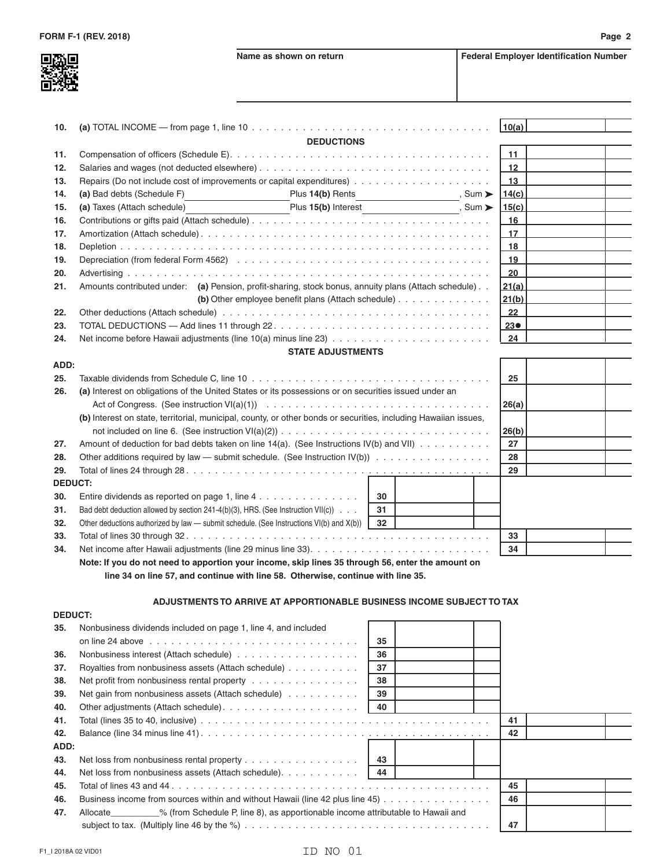

| 10. |                                                                                                      | (a) TOTAL INCOME — from page 1, line 10 $\dots \dots \dots \dots \dots \dots \dots \dots \dots \dots \dots \dots \dots \dots \dots \dots$ |                             | 10(a) |  |
|-----|------------------------------------------------------------------------------------------------------|-------------------------------------------------------------------------------------------------------------------------------------------|-----------------------------|-------|--|
|     |                                                                                                      | <b>DEDUCTIONS</b>                                                                                                                         |                             |       |  |
| 11. |                                                                                                      |                                                                                                                                           |                             |       |  |
| 12. |                                                                                                      |                                                                                                                                           |                             | 12    |  |
| 13. |                                                                                                      |                                                                                                                                           |                             | 13    |  |
| 14. | (a) Bad debts (Schedule F)                                                                           | Plus 14(b) Rents                                                                                                                          | , Sum $\blacktriangleright$ | 14(c) |  |
| 15. | (a) Taxes (Attach schedule)                                                                          | Plus 15(b) Interest ___________________, Sum ▶                                                                                            |                             | 15(c) |  |
| 16. |                                                                                                      |                                                                                                                                           |                             | 16    |  |
| 17. |                                                                                                      |                                                                                                                                           |                             | 17    |  |
| 18. |                                                                                                      | 18                                                                                                                                        |                             |       |  |
| 19. |                                                                                                      | 19                                                                                                                                        |                             |       |  |
| 20. |                                                                                                      |                                                                                                                                           |                             | 20    |  |
| 21. | Amounts contributed under: (a) Pension, profit-sharing, stock bonus, annuity plans (Attach schedule) | 21(a)                                                                                                                                     |                             |       |  |
|     |                                                                                                      |                                                                                                                                           |                             | 21(b) |  |
| 22. |                                                                                                      | 22                                                                                                                                        |                             |       |  |
| 23. |                                                                                                      | $23\bullet$                                                                                                                               |                             |       |  |
| 24. |                                                                                                      |                                                                                                                                           |                             | 24    |  |

## **STATE ADJUSTMENTS**

| ADD:           |                                                                                                                                                                                                                                           |       |  |    |  |
|----------------|-------------------------------------------------------------------------------------------------------------------------------------------------------------------------------------------------------------------------------------------|-------|--|----|--|
| 25.            |                                                                                                                                                                                                                                           | 25    |  |    |  |
| 26.            | (a) Interest on obligations of the United States or its possessions or on securities issued under an<br>Act of Congress. (See instruction VI(a)(1)) $\ldots \ldots \ldots \ldots \ldots \ldots \ldots \ldots \ldots \ldots \ldots \ldots$ | 26(a) |  |    |  |
|                | (b) Interest on state, territorial, municipal, county, or other bonds or securities, including Hawaiian issues,                                                                                                                           | 26(b) |  |    |  |
| 27.            | Amount of deduction for bad debts taken on line $14(a)$ . (See Instructions IV(b) and VII)                                                                                                                                                | 27    |  |    |  |
| 28.            | Other additions required by law — submit schedule. (See Instruction $IV(b)$ )                                                                                                                                                             | 28    |  |    |  |
| 29.            |                                                                                                                                                                                                                                           | 29    |  |    |  |
| <b>DEDUCT:</b> |                                                                                                                                                                                                                                           |       |  |    |  |
| 30.            | Entire dividends as reported on page 1, line $4 \ldots \ldots \ldots \ldots$                                                                                                                                                              | 30    |  |    |  |
| 31.            | Bad debt deduction allowed by section 241-4(b)(3), HRS. (See Instruction VII(c)) $\ldots$                                                                                                                                                 |       |  |    |  |
| 32.            | Other deductions authorized by law — submit schedule. (See Instructions $V(f)$ ) and $X(b)$ )                                                                                                                                             |       |  |    |  |
| 33.            |                                                                                                                                                                                                                                           | 33    |  |    |  |
| 34.            |                                                                                                                                                                                                                                           |       |  | 34 |  |
|                |                                                                                                                                                                                                                                           |       |  |    |  |

 **Note: If you do not need to apportion your income, skip lines 35 through 56, enter the amount on line 34 on line 57, and continue with line 58. Otherwise, continue with line 35.**

## **ADJUSTMENTS TO ARRIVE AT APPORTIONABLE BUSINESS INCOME SUBJECT TO TAX**

| <b>DEDUCT:</b> |                                                                                                    |    |  |  |  |  |
|----------------|----------------------------------------------------------------------------------------------------|----|--|--|--|--|
| 35.            | Nonbusiness dividends included on page 1, line 4, and included                                     |    |  |  |  |  |
|                |                                                                                                    | 35 |  |  |  |  |
| 36.            |                                                                                                    | 36 |  |  |  |  |
| 37.            | Royalties from nonbusiness assets (Attach schedule)                                                | 37 |  |  |  |  |
| 38.            | Net profit from nonbusiness rental property                                                        | 38 |  |  |  |  |
| 39.            | Net gain from nonbusiness assets (Attach schedule)                                                 |    |  |  |  |  |
| 40.            | 40                                                                                                 |    |  |  |  |  |
| 41.            |                                                                                                    | 41 |  |  |  |  |
| 42.            |                                                                                                    |    |  |  |  |  |
| ADD:           |                                                                                                    |    |  |  |  |  |
| 43.            | 43                                                                                                 |    |  |  |  |  |
| 44.            | Net loss from nonbusiness assets (Attach schedule).                                                |    |  |  |  |  |
| 45.            |                                                                                                    | 45 |  |  |  |  |
| 46.            | Business income from sources within and without Hawaii (line 42 plus line 45) $\ldots$             | 46 |  |  |  |  |
| 47.            | Allocate __________% (from Schedule P, line 8), as apportionable income attributable to Hawaii and |    |  |  |  |  |
|                |                                                                                                    |    |  |  |  |  |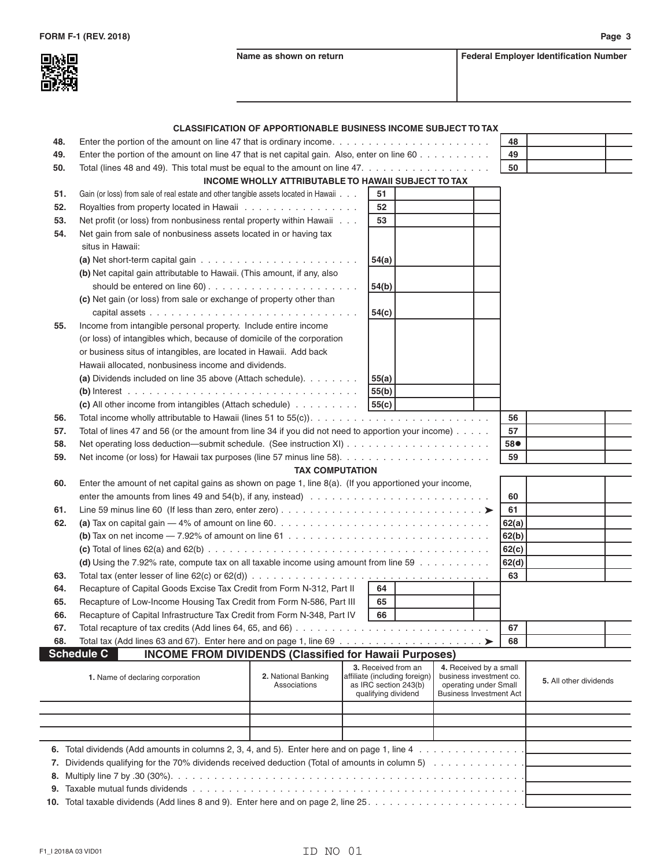**BSK** 



|     |                                                                                                                                       | <b>CLASSIFICATION OF APPORTIONABLE BUSINESS INCOME SUBJECT TO TAX</b> |                 |                                                                               |                                                                                                              |       |                        |  |
|-----|---------------------------------------------------------------------------------------------------------------------------------------|-----------------------------------------------------------------------|-----------------|-------------------------------------------------------------------------------|--------------------------------------------------------------------------------------------------------------|-------|------------------------|--|
| 48. | Enter the portion of the amount on line 47 that is ordinary income. $\ldots \ldots \ldots \ldots \ldots \ldots \ldots \ldots$         |                                                                       |                 |                                                                               |                                                                                                              | 48    |                        |  |
| 49. | Enter the portion of the amount on line 47 that is net capital gain. Also, enter on line 60                                           |                                                                       |                 |                                                                               |                                                                                                              | 49    |                        |  |
| 50. | Total (lines 48 and 49). This total must be equal to the amount on line 47. $\ldots$                                                  |                                                                       |                 |                                                                               |                                                                                                              | 50    |                        |  |
|     |                                                                                                                                       | INCOME WHOLLY ATTRIBUTABLE TO HAWAII SUBJECT TO TAX                   |                 |                                                                               |                                                                                                              |       |                        |  |
| 51. | Gain (or loss) from sale of real estate and other tangible assets located in Hawaii                                                   |                                                                       | 51              |                                                                               |                                                                                                              |       |                        |  |
| 52. | Royalties from property located in Hawaii                                                                                             |                                                                       | 52              |                                                                               |                                                                                                              |       |                        |  |
| 53. | Net profit (or loss) from nonbusiness rental property within Hawaii                                                                   |                                                                       | 53              |                                                                               |                                                                                                              |       |                        |  |
| 54. | Net gain from sale of nonbusiness assets located in or having tax                                                                     |                                                                       |                 |                                                                               |                                                                                                              |       |                        |  |
|     | situs in Hawaii:                                                                                                                      |                                                                       |                 |                                                                               |                                                                                                              |       |                        |  |
|     | (a) Net short-term capital gain $\ldots \ldots \ldots \ldots \ldots \ldots \ldots$                                                    |                                                                       | 54(a)           |                                                                               |                                                                                                              |       |                        |  |
|     | (b) Net capital gain attributable to Hawaii. (This amount, if any, also                                                               |                                                                       | 54(b)           |                                                                               |                                                                                                              |       |                        |  |
|     | (c) Net gain (or loss) from sale or exchange of property other than                                                                   |                                                                       |                 |                                                                               |                                                                                                              |       |                        |  |
|     |                                                                                                                                       |                                                                       | 54(c)           |                                                                               |                                                                                                              |       |                        |  |
| 55. | Income from intangible personal property. Include entire income                                                                       |                                                                       |                 |                                                                               |                                                                                                              |       |                        |  |
|     | (or loss) of intangibles which, because of domicile of the corporation                                                                |                                                                       |                 |                                                                               |                                                                                                              |       |                        |  |
|     | or business situs of intangibles, are located in Hawaii. Add back<br>Hawaii allocated, nonbusiness income and dividends.              |                                                                       |                 |                                                                               |                                                                                                              |       |                        |  |
|     | (a) Dividends included on line 35 above (Attach schedule).                                                                            |                                                                       |                 |                                                                               |                                                                                                              |       |                        |  |
|     |                                                                                                                                       |                                                                       | 55(a)           |                                                                               |                                                                                                              |       |                        |  |
|     | (c) All other income from intangibles (Attach schedule)                                                                               |                                                                       | 55(b) <br>55(c) |                                                                               |                                                                                                              |       |                        |  |
| 56. |                                                                                                                                       |                                                                       |                 |                                                                               |                                                                                                              | 56    |                        |  |
| 57. | Total of lines 47 and 56 (or the amount from line 34 if you did not need to apportion your income)                                    |                                                                       |                 |                                                                               |                                                                                                              | 57    |                        |  |
| 58. |                                                                                                                                       |                                                                       |                 |                                                                               |                                                                                                              | 58●   |                        |  |
| 59. |                                                                                                                                       |                                                                       |                 |                                                                               |                                                                                                              | 59    |                        |  |
|     |                                                                                                                                       | <b>TAX COMPUTATION</b>                                                |                 |                                                                               |                                                                                                              |       |                        |  |
| 60. | Enter the amount of net capital gains as shown on page 1, line $8(a)$ . (If you apportioned your income,                              |                                                                       |                 |                                                                               |                                                                                                              |       |                        |  |
|     |                                                                                                                                       |                                                                       |                 |                                                                               |                                                                                                              | 60    |                        |  |
| 61. |                                                                                                                                       |                                                                       |                 |                                                                               |                                                                                                              | 61    |                        |  |
| 62. |                                                                                                                                       |                                                                       |                 |                                                                               |                                                                                                              | 62(a) |                        |  |
|     | (b) Tax on net income $-7.92\%$ of amount on line 61 $\dots \dots \dots \dots \dots \dots \dots \dots \dots \dots \dots \dots$        |                                                                       |                 |                                                                               |                                                                                                              | 62(b) |                        |  |
|     |                                                                                                                                       |                                                                       |                 |                                                                               |                                                                                                              | 62(c) |                        |  |
|     | (d) Using the 7.92% rate, compute tax on all taxable income using amount from line 59                                                 |                                                                       |                 |                                                                               |                                                                                                              | 62(d) |                        |  |
| 63. | Total tax (enter lesser of line 62(c) or 62(d)) $\ldots \ldots \ldots \ldots \ldots \ldots \ldots \ldots \ldots \ldots \ldots \ldots$ |                                                                       |                 |                                                                               |                                                                                                              | 63    |                        |  |
| 64. | Recapture of Capital Goods Excise Tax Credit from Form N-312, Part II                                                                 |                                                                       | 64              |                                                                               |                                                                                                              |       |                        |  |
| 65. |                                                                                                                                       |                                                                       | 65              |                                                                               |                                                                                                              |       |                        |  |
|     | Recapture of Low-Income Housing Tax Credit from Form N-586, Part III                                                                  |                                                                       |                 |                                                                               |                                                                                                              |       |                        |  |
| 66. | Recapture of Capital Infrastructure Tax Credit from Form N-348, Part IV   66                                                          |                                                                       |                 |                                                                               |                                                                                                              | 67    |                        |  |
| 67. |                                                                                                                                       |                                                                       |                 |                                                                               |                                                                                                              |       |                        |  |
| 68. | <b>Schedule C</b>                                                                                                                     |                                                                       |                 |                                                                               |                                                                                                              | 68    |                        |  |
|     | <b>INCOME FROM DIVIDENDS (Classified for Hawaii Purposes)</b>                                                                         |                                                                       |                 | 3. Received from an                                                           |                                                                                                              |       |                        |  |
|     | 1. Name of declaring corporation                                                                                                      | 2. National Banking<br>Associations                                   |                 | affiliate (including foreign)<br>as IRC section 243(b)<br>qualifying dividend | 4. Received by a small<br>business investment co.<br>operating under Small<br><b>Business Investment Act</b> |       | 5. All other dividends |  |
|     |                                                                                                                                       |                                                                       |                 |                                                                               |                                                                                                              |       |                        |  |
|     |                                                                                                                                       |                                                                       |                 |                                                                               |                                                                                                              |       |                        |  |
|     |                                                                                                                                       |                                                                       |                 |                                                                               |                                                                                                              |       |                        |  |
|     |                                                                                                                                       |                                                                       |                 |                                                                               |                                                                                                              |       |                        |  |
|     |                                                                                                                                       |                                                                       |                 |                                                                               |                                                                                                              |       |                        |  |
|     | 7. Dividends qualifying for the 70% dividends received deduction (Total of amounts in column 5)                                       |                                                                       |                 |                                                                               |                                                                                                              |       |                        |  |
|     |                                                                                                                                       |                                                                       |                 |                                                                               |                                                                                                              |       |                        |  |
|     |                                                                                                                                       |                                                                       |                 |                                                                               |                                                                                                              |       |                        |  |